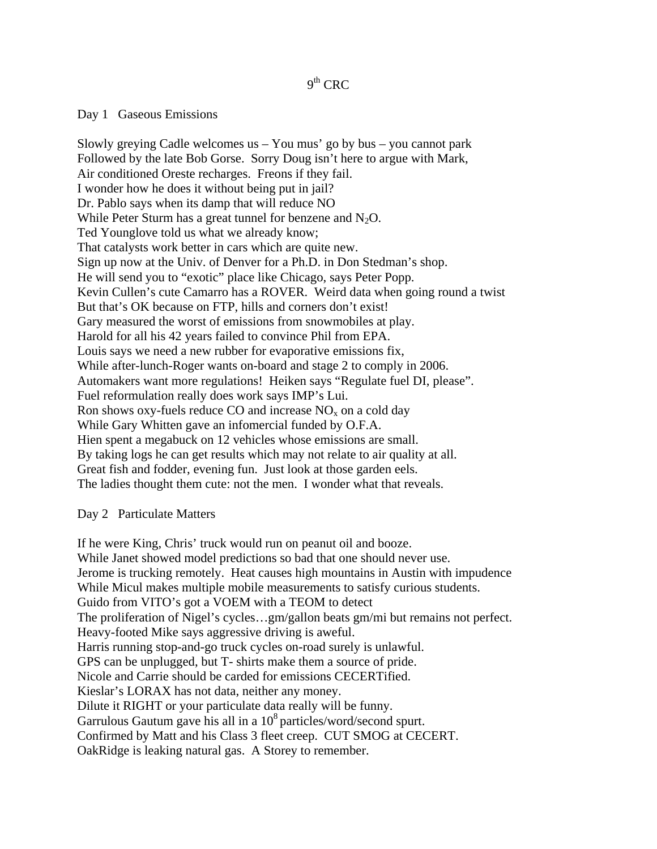# $9<sup>th</sup>$  CRC

# Day 1 Gaseous Emissions

Slowly greying Cadle welcomes us  $-$  You mus' go by bus  $-$  you cannot park Followed by the late Bob Gorse. Sorry Doug isn't here to argue with Mark, Air conditioned Oreste recharges. Freons if they fail. I wonder how he does it without being put in jail? Dr. Pablo says when its damp that will reduce NO While Peter Sturm has a great tunnel for benzene and  $N_2O$ . Ted Younglove told us what we already know; That catalysts work better in cars which are quite new. Sign up now at the Univ. of Denver for a Ph.D. in Don Stedman's shop. He will send you to "exotic" place like Chicago, says Peter Popp. Kevin Cullen's cute Camarro has a ROVER. Weird data when going round a twist But that's OK because on FTP, hills and corners don't exist! Gary measured the worst of emissions from snowmobiles at play. Harold for all his 42 years failed to convince Phil from EPA. Louis says we need a new rubber for evaporative emissions fix, While after-lunch-Roger wants on-board and stage 2 to comply in 2006. Automakers want more regulations! Heiken says "Regulate fuel DI, please". Fuel reformulation really does work says IMP's Lui. Ron shows oxy-fuels reduce CO and increase  $NO<sub>x</sub>$  on a cold day While Gary Whitten gave an infomercial funded by O.F.A. Hien spent a megabuck on 12 vehicles whose emissions are small. By taking logs he can get results which may not relate to air quality at all. Great fish and fodder, evening fun. Just look at those garden eels. The ladies thought them cute: not the men. I wonder what that reveals.

# Day 2 Particulate Matters

If he were King, Chris' truck would run on peanut oil and booze. While Janet showed model predictions so bad that one should never use. Jerome is trucking remotely. Heat causes high mountains in Austin with impudence While Micul makes multiple mobile measurements to satisfy curious students. Guido from VITO's got a VOEM with a TEOM to detect The proliferation of Nigel's cycles…gm/gallon beats gm/mi but remains not perfect. Heavy-footed Mike says aggressive driving is aweful. Harris running stop-and-go truck cycles on-road surely is unlawful. GPS can be unplugged, but T- shirts make them a source of pride. Nicole and Carrie should be carded for emissions CECERTified. Kieslar's LORAX has not data, neither any money. Dilute it RIGHT or your particulate data really will be funny. Garrulous Gautum gave his all in a  $10^8$  particles/word/second spurt. Confirmed by Matt and his Class 3 fleet creep. CUT SMOG at CECERT. OakRidge is leaking natural gas. A Storey to remember.